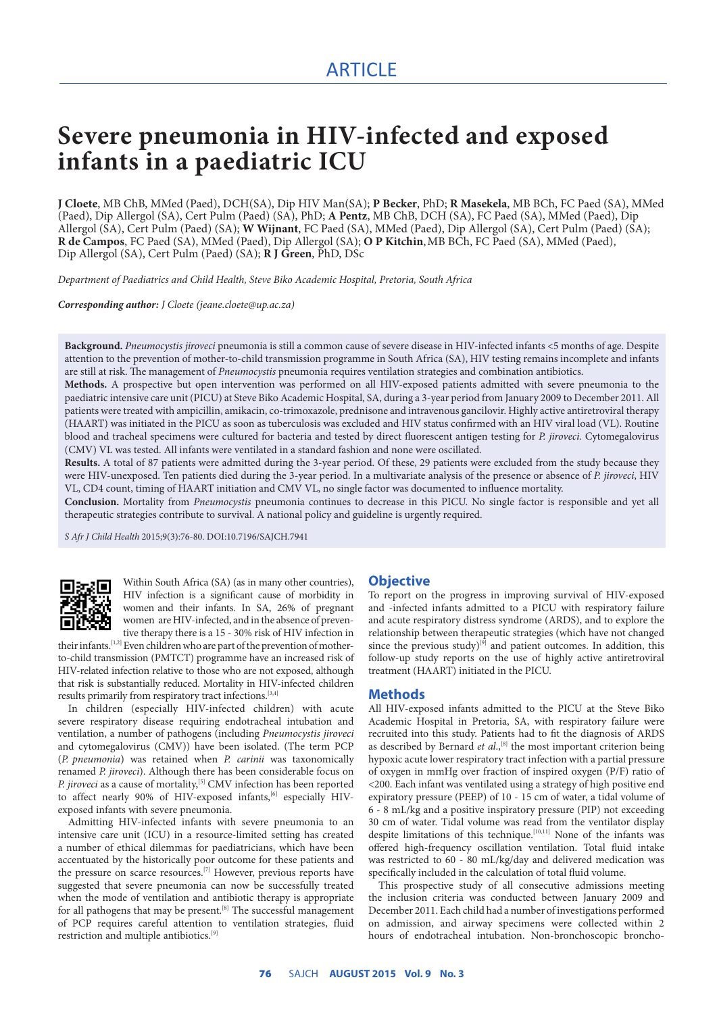# **Severe pneumonia in HIV-infected and exposed infants in a paediatric ICU**

**J Cloete**, MB ChB, MMed (Paed), DCH(SA), Dip HIV Man(SA); **P Becker**, PhD; **R Masekela**, MB BCh, FC Paed (SA), MMed (Paed), Dip Allergol (SA), Cert Pulm (Paed) (SA), PhD; **A Pentz**, MB ChB, DCH (SA), FC Paed (SA), MMed (Paed), Dip Allergol (SA), Cert Pulm (Paed) (SA); **W Wijnant**, FC Paed (SA), MMed (Paed), Dip Allergol (SA), Cert Pulm (Paed) (SA); **R de Campos**, FC Paed (SA), MMed (Paed), Dip Allergol (SA); **O P Kitchin**,MB BCh, FC Paed (SA), MMed (Paed), Dip Allergol (SA), Cert Pulm (Paed) (SA); **R J Green**, PhD, DSc

*Department of Paediatrics and Child Health, Steve Biko Academic Hospital, Pretoria, South Africa*

*Corresponding author: J Cloete (jeane.cloete@up.ac.za)*

**Background.** *Pneumocystis jiroveci* pneumonia is still a common cause of severe disease in HIV-infected infants <5 months of age. Despite attention to the prevention of mother-to-child transmission programme in South Africa (SA), HIV testing remains incomplete and infants are still at risk. The management of *Pneumocystis* pneumonia requires ventilation strategies and combination antibiotics.

**Methods.** A prospective but open intervention was performed on all HIV-exposed patients admitted with severe pneumonia to the paediatric intensive care unit (PICU) at Steve Biko Academic Hospital, SA, during a 3-year period from January 2009 to December 2011. All patients were treated with ampicillin, amikacin, co-trimoxazole, prednisone and intravenous gancilovir. Highly active antiretroviral therapy (HAART) was initiated in the PICU as soon as tuberculosis was excluded and HIV status confirmed with an HIV viral load (VL). Routine blood and tracheal specimens were cultured for bacteria and tested by direct fluorescent antigen testing for *P. jiroveci.* Cytomegalovirus (CMV) VL was tested. All infants were ventilated in a standard fashion and none were oscillated.

**Results.** A total of 87 patients were admitted during the 3-year period. Of these, 29 patients were excluded from the study because they were HIV-unexposed. Ten patients died during the 3-year period. In a multivariate analysis of the presence or absence of *P. jiroveci*, HIV VL, CD4 count, timing of HAART initiation and CMV VL, no single factor was documented to influence mortality.

**Conclusion.** Mortality from *Pneumocystis* pneumonia continues to decrease in this PICU. No single factor is responsible and yet all therapeutic strategies contribute to survival. A national policy and guideline is urgently required.

*S Afr J Child Health* 2015;9(3):76-80. DOI:10.7196/SAJCH.7941



Within South Africa (SA) (as in many other countries), HIV infection is a significant cause of morbidity in women and their infants. In SA, 26% of pregnant women are HIV-infected, and in the absence of preventive therapy there is a 15 - 30% risk of HIV infection in

their infants.<sup>[1,2]</sup> Even children who are part of the prevention of motherto-child transmission (PMTCT) programme have an increased risk of HIV-related infection relative to those who are not exposed, although that risk is substantially reduced. Mortality in HIV-infected children results primarily from respiratory tract infections.<sup>[3,4]</sup>

In children (especially HIV-infected children) with acute severe respiratory disease requiring endotracheal intubation and ventilation, a number of pathogens (including *Pneumocystis jiroveci* and cytomegalovirus (CMV)) have been isolated. (The term PCP (*P. pneumonia*) was retained when *P. carinii* was taxonomically renamed *P. jiroveci*). Although there has been considerable focus on *P. jiroveci* as a cause of mortality,<sup>[5]</sup> CMV infection has been reported to affect nearly 90% of HIV-exposed infants,<sup>[6]</sup> especially HIVexposed infants with severe pneumonia.

Admitting HIV-infected infants with severe pneumonia to an intensive care unit (ICU) in a resource-limited setting has created a number of ethical dilemmas for paediatricians, which have been accentuated by the historically poor outcome for these patients and the pressure on scarce resources.[7] However, previous reports have suggested that severe pneumonia can now be successfully treated when the mode of ventilation and antibiotic therapy is appropriate for all pathogens that may be present.<sup>[8]</sup> The successful management of PCP requires careful attention to ventilation strategies, fluid restriction and multiple antibiotics.[9]

#### **Objective**

To report on the progress in improving survival of HIV-exposed and -infected infants admitted to a PICU with respiratory failure and acute respiratory distress syndrome (ARDS), and to explore the relationship between therapeutic strategies (which have not changed since the previous study)<sup>[9]</sup> and patient outcomes. In addition, this follow-up study reports on the use of highly active antiretroviral treatment (HAART) initiated in the PICU.

#### **Methods**

All HIV-exposed infants admitted to the PICU at the Steve Biko Academic Hospital in Pretoria, SA, with respiratory failure were recruited into this study. Patients had to fit the diagnosis of ARDS as described by Bernard *et al.*<sup>[8]</sup> the most important criterion being hypoxic acute lower respiratory tract infection with a partial pressure of oxygen in mmHg over fraction of inspired oxygen (P/F) ratio of <200. Each infant was ventilated using a strategy of high positive end expiratory pressure (PEEP) of 10 - 15 cm of water, a tidal volume of 6 - 8 mL/kg and a positive inspiratory pressure (PIP) not exceeding 30 cm of water. Tidal volume was read from the ventilator display despite limitations of this technique.<sup>[10,11]</sup> None of the infants was offered high-frequency oscillation ventilation. Total fluid intake was restricted to 60 - 80 mL/kg/day and delivered medication was specifically included in the calculation of total fluid volume.

This prospective study of all consecutive admissions meeting the inclusion criteria was conducted between January 2009 and December 2011. Each child had a number of investigations performed on admission, and airway specimens were collected within 2 hours of endotracheal intubation. Non-bronchoscopic broncho-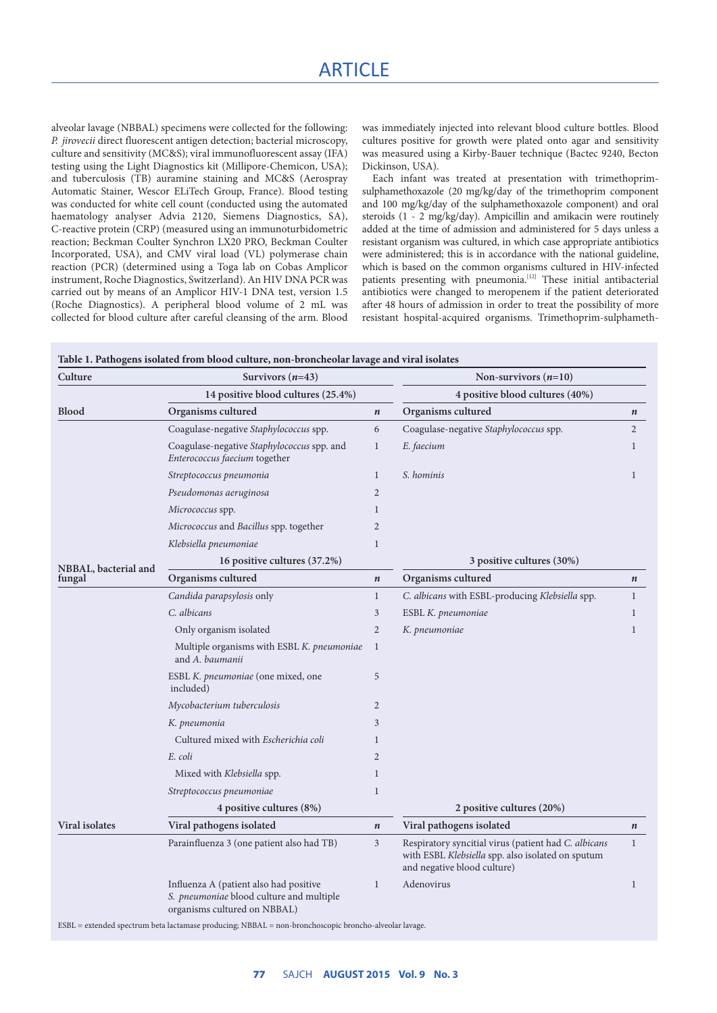alveolar lavage (NBBAL) specimens were collected for the following: *P. jirovecii* direct fluorescent antigen detection; bacterial microscopy, culture and sensitivity (MC&S); viral immunofluorescent assay (IFA) testing using the Light Diagnostics kit (Millipore-Chemicon, USA); and tuberculosis (TB) auramine staining and MC&S (Aerospray Automatic Stainer, Wescor ELiTech Group, France). Blood testing was conducted for white cell count (conducted using the automated haematology analyser Advia 2120, Siemens Diagnostics, SA), C-reactive protein (CRP) (measured using an immunoturbidometric reaction; Beckman Coulter Synchron LX20 PRO, Beckman Coulter Incorporated, USA), and CMV viral load (VL) polymerase chain reaction (PCR) (determined using a Toga lab on Cobas Amplicor instrument, Roche Diagnostics, Switzerland). An HIV DNA PCR was carried out by means of an Amplicor HIV-1 DNA test, version 1.5 (Roche Diagnostics). A peripheral blood volume of 2 mL was collected for blood culture after careful cleansing of the arm. Blood

was immediately injected into relevant blood culture bottles. Blood cultures positive for growth were plated onto agar and sensitivity was measured using a Kirby-Bauer technique (Bactec 9240, Becton Dickinson, USA).

Each infant was treated at presentation with trimethoprimsulphamethoxazole (20 mg/kg/day of the trimethoprim component and 100 mg/kg/day of the sulphamethoxazole component) and oral steroids (1 - 2 mg/kg/day). Ampicillin and amikacin were routinely added at the time of admission and administered for 5 days unless a resistant organism was cultured, in which case appropriate antibiotics were administered; this is in accordance with the national guideline, which is based on the common organisms cultured in HIV-infected patients presenting with pneumonia.<sup>[12]</sup> These initial antibacterial antibiotics were changed to meropenem if the patient deteriorated after 48 hours of admission in order to treat the possibility of more resistant hospital-acquired organisms. Trimethoprim-sulphameth-

| Culture                        | Survivors $(n=43)$                                                                                                 |                  | Non-survivors $(n=10)$                                                                                                                   |                  |  |  |
|--------------------------------|--------------------------------------------------------------------------------------------------------------------|------------------|------------------------------------------------------------------------------------------------------------------------------------------|------------------|--|--|
|                                | 14 positive blood cultures (25.4%)                                                                                 |                  | 4 positive blood cultures (40%)                                                                                                          |                  |  |  |
| <b>Blood</b>                   | Organisms cultured                                                                                                 | $\boldsymbol{n}$ | Organisms cultured                                                                                                                       | $\boldsymbol{n}$ |  |  |
|                                | Coagulase-negative Staphylococcus spp.                                                                             | 6                | Coagulase-negative Staphylococcus spp.                                                                                                   | $\overline{2}$   |  |  |
|                                | Coagulase-negative Staphylococcus spp. and<br>Enterococcus faecium together                                        | 1                | E. faecium                                                                                                                               | $\mathbf{1}$     |  |  |
|                                | Streptococcus pneumonia                                                                                            | 1                | <i>S.</i> hominis                                                                                                                        | 1                |  |  |
|                                | Pseudomonas aeruginosa                                                                                             | $\overline{2}$   |                                                                                                                                          |                  |  |  |
|                                | Micrococcus spp.                                                                                                   | 1                |                                                                                                                                          |                  |  |  |
|                                | Micrococcus and Bacillus spp. together                                                                             | $\overline{2}$   |                                                                                                                                          |                  |  |  |
|                                | Klebsiella pneumoniae                                                                                              | 1                |                                                                                                                                          |                  |  |  |
| NBBAL, bacterial and<br>fungal | 16 positive cultures (37.2%)                                                                                       |                  | 3 positive cultures (30%)                                                                                                                |                  |  |  |
|                                | Organisms cultured                                                                                                 | $\boldsymbol{n}$ | Organisms cultured                                                                                                                       | $\boldsymbol{n}$ |  |  |
|                                | Candida parapsylosis only                                                                                          | $\mathbf{1}$     | C. albicans with ESBL-producing Klebsiella spp.                                                                                          | 1                |  |  |
|                                | C. albicans                                                                                                        | 3                | ESBL K. pneumoniae                                                                                                                       | 1                |  |  |
|                                | Only organism isolated                                                                                             | 2                | K. pneumoniae                                                                                                                            | $\mathbf{1}$     |  |  |
|                                | Multiple organisms with ESBL K. pneumoniae<br>and A. baumanii                                                      | 1                |                                                                                                                                          |                  |  |  |
|                                | ESBL K. pneumoniae (one mixed, one<br>included)                                                                    | 5                |                                                                                                                                          |                  |  |  |
|                                | Mycobacterium tuberculosis                                                                                         | $\overline{2}$   |                                                                                                                                          |                  |  |  |
|                                | K. pneumonia                                                                                                       | 3                |                                                                                                                                          |                  |  |  |
|                                | Cultured mixed with <i>Escherichia coli</i>                                                                        | 1                |                                                                                                                                          |                  |  |  |
|                                | E. coli                                                                                                            | $\overline{2}$   |                                                                                                                                          |                  |  |  |
|                                | Mixed with Klebsiella spp.                                                                                         | 1                |                                                                                                                                          |                  |  |  |
|                                | Streptococcus pneumoniae                                                                                           | $\mathbf{1}$     |                                                                                                                                          |                  |  |  |
|                                | 4 positive cultures (8%)                                                                                           |                  | 2 positive cultures (20%)                                                                                                                |                  |  |  |
| Viral isolates                 | Viral pathogens isolated                                                                                           | $\boldsymbol{n}$ | Viral pathogens isolated                                                                                                                 | $\boldsymbol{n}$ |  |  |
|                                | Parainfluenza 3 (one patient also had TB)                                                                          | 3                | Respiratory syncitial virus (patient had C. albicans<br>with ESBL Klebsiella spp. also isolated on sputum<br>and negative blood culture) | $\mathbf{1}$     |  |  |
|                                | Influenza A (patient also had positive<br>S. pneumoniae blood culture and multiple<br>organisms cultured on NBBAL) | $\mathbf{1}$     | Adenovirus                                                                                                                               | $\mathbf{1}$     |  |  |

**Table 1. Pathogens isolated from blood culture, non-broncheolar lavage and viral isolates**

ESBL = extended spectrum beta lactamase producing; NBBAL = non-bronchoscopic broncho-alveolar lavage.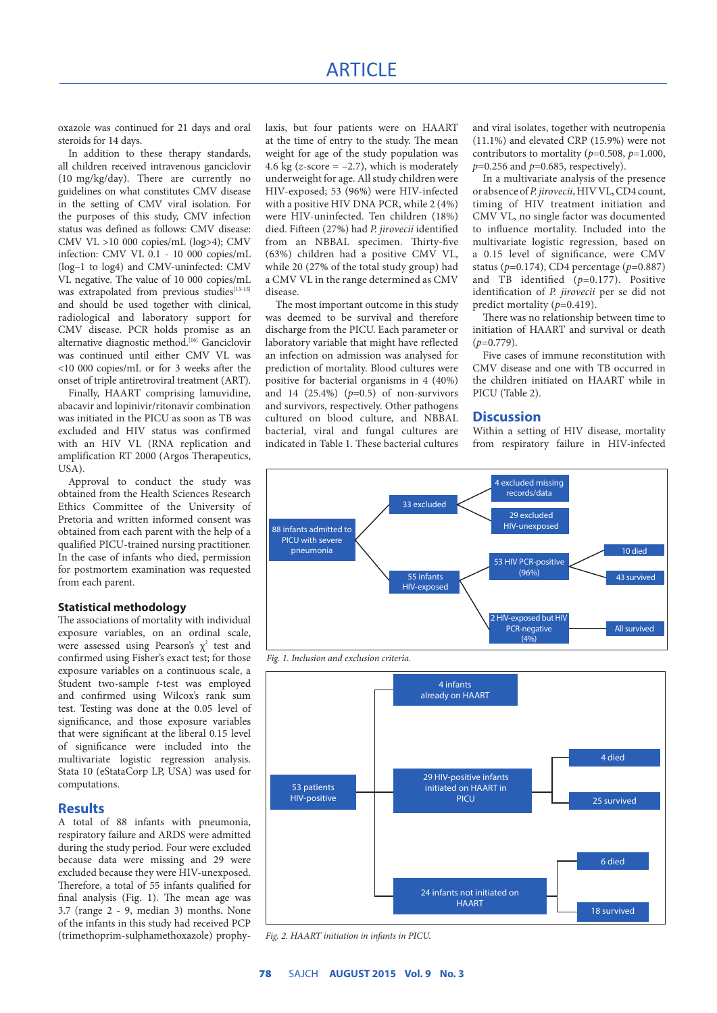### **ARTICLE**

oxazole was continued for 21 days and oral steroids for 14 days.

In addition to these therapy standards, all children received intravenous ganciclovir (10 mg/kg/day). There are currently no guidelines on what constitutes CMV disease in the setting of CMV viral isolation. For the purposes of this study, CMV infection status was defined as follows: CMV disease: CMV VL >10 000 copies/mL (log>4); CMV infection: CMV VL 0.1 - 10 000 copies/mL (log–1 to log4) and CMV-uninfected: CMV VL negative. The value of 10 000 copies/mL was extrapolated from previous studies<sup>[13-15]</sup> and should be used together with clinical, radiological and laboratory support for CMV disease. PCR holds promise as an alternative diagnostic method.<sup>[16]</sup> Ganciclovir was continued until either CMV VL was <10 000 copies/mL or for 3 weeks after the onset of triple antiretroviral treatment (ART).

Finally, HAART comprising lamuvidine, abacavir and lopinivir/ritonavir combination was initiated in the PICU as soon as TB was excluded and HIV status was confirmed with an HIV VL (RNA replication and amplification RT 2000 (Argos Therapeutics, USA).

Approval to conduct the study was obtained from the Health Sciences Research Ethics Committee of the University of Pretoria and written informed consent was obtained from each parent with the help of a qualified PICU-trained nursing practitioner. In the case of infants who died, permission for postmortem examination was requested from each parent.

#### **Statistical methodology**

The associations of mortality with individual exposure variables, on an ordinal scale, were assessed using Pearson's  $\chi^2$  test and confirmed using Fisher's exact test; for those exposure variables on a continuous scale, a Student two-sample *t*-test was employed and confirmed using Wilcox's rank sum test. Testing was done at the 0.05 level of significance, and those exposure variables that were significant at the liberal 0.15 level of significance were included into the multivariate logistic regression analysis. Stata 10 (eStataCorp LP, USA) was used for computations.

#### **Results**

A total of 88 infants with pneumonia, respiratory failure and ARDS were admitted during the study period. Four were excluded because data were missing and 29 were excluded because they were HIV-unexposed. Therefore, a total of 55 infants qualified for final analysis (Fig. 1). The mean age was 3.7 (range 2 - 9, median 3) months. None of the infants in this study had received PCP (trimethoprim-sulphamethoxazole) prophylaxis, but four patients were on HAART at the time of entry to the study. The mean weight for age of the study population was 4.6 kg ( $z$ -score =  $-2.7$ ), which is moderately underweight for age. All study children were HIV-exposed; 53 (96%) were HIV-infected with a positive HIV DNA PCR, while 2 (4%) were HIV-uninfected. Ten children (18%) died. Fifteen (27%) had *P. jirovecii* identified from an NBBAL specimen. Thirty-five (63%) children had a positive CMV VL, while 20 (27% of the total study group) had a CMV VL in the range determined as CMV disease.

The most important outcome in this study was deemed to be survival and therefore discharge from the PICU. Each parameter or laboratory variable that might have reflected an infection on admission was analysed for prediction of mortality. Blood cultures were positive for bacterial organisms in 4 (40%) and 14  $(25.4\%)$   $(p=0.5)$  of non-survivors and survivors, respectively. Other pathogens cultured on blood culture, and NBBAL bacterial, viral and fungal cultures are indicated in Table 1. These bacterial cultures

and viral isolates, together with neutropenia (11.1%) and elevated CRP (15.9%) were not contributors to mortality ( $p=0.508$ ,  $p=1.000$ , *p*=0.256 and *p*=0.685, respectively).

In a multivariate analysis of the presence or absence of *P. jirovecii*, HIV VL, CD4 count, timing of HIV treatment initiation and CMV VL, no single factor was documented to influence mortality. Included into the multivariate logistic regression, based on a 0.15 level of significance, were CMV status (*p*=0.174), CD4 percentage (*p*=0.887) and TB identified (*p*=0.177). Positive identification of *P. jirovecii* per se did not predict mortality ( $p=0.419$ ).

There was no relationship between time to initiation of HAART and survival or death  $(p=0.779)$ .

Five cases of immune reconstitution with CMV disease and one with TB occurred in the children initiated on HAART while in PICU (Table 2).

#### **Discussion**

Within a setting of HIV disease, mortality from respiratory failure in HIV-infected





*Fig. 2. HAART initiation in infants in PICU.*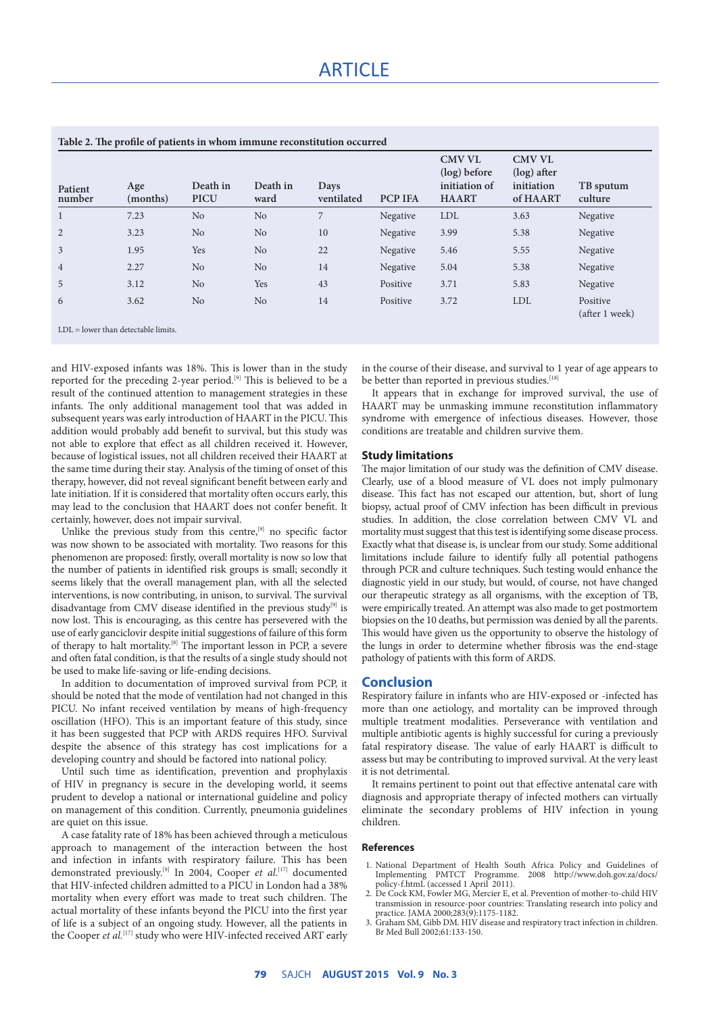| Patient<br>number | Age<br>(months) | Death in<br><b>PICU</b> | Death in<br>ward | <b>Days</b><br>ventilated | <b>PCP IFA</b> | <b>CMV VL</b><br>$(log)$ before<br>initiation of<br><b>HAART</b> | <b>CMV VL</b><br>$(log)$ after<br>initiation<br>of HAART | TB sputum<br>culture       |          |
|-------------------|-----------------|-------------------------|------------------|---------------------------|----------------|------------------------------------------------------------------|----------------------------------------------------------|----------------------------|----------|
|                   | 7.23            | No                      | N <sub>o</sub>   |                           | 7              | Negative                                                         | <b>LDL</b>                                               | 3.63                       | Negative |
| $\overline{2}$    | 3.23            | N <sub>o</sub>          | N <sub>o</sub>   | 10                        | Negative       | 3.99                                                             | 5.38                                                     | Negative                   |          |
| 3                 | 1.95            | Yes                     | N <sub>o</sub>   | 22                        | Negative       | 5.46                                                             | 5.55                                                     | Negative                   |          |
| $\overline{4}$    | 2.27            | N <sub>o</sub>          | N <sub>o</sub>   | 14                        | Negative       | 5.04                                                             | 5.38                                                     | Negative                   |          |
| 5                 | 3.12            | N <sub>o</sub>          | Yes              | 43                        | Positive       | 3.71                                                             | 5.83                                                     | Negative                   |          |
| 6                 | 3.62            | N <sub>o</sub>          | N <sub>o</sub>   | 14                        | Positive       | 3.72                                                             | <b>LDL</b>                                               | Positive<br>(after 1 week) |          |

and HIV-exposed infants was 18%. This is lower than in the study reported for the preceding 2-year period.<sup>[9]</sup> This is believed to be a result of the continued attention to management strategies in these infants. The only additional management tool that was added in subsequent years was early introduction of HAART in the PICU. This addition would probably add benefit to survival, but this study was not able to explore that effect as all children received it. However, because of logistical issues, not all children received their HAART at the same time during their stay. Analysis of the timing of onset of this therapy, however, did not reveal significant benefit between early and late initiation. If it is considered that mortality often occurs early, this may lead to the conclusion that HAART does not confer benefit. It certainly, however, does not impair survival.

Unlike the previous study from this centre,<sup>[9]</sup> no specific factor was now shown to be associated with mortality. Two reasons for this phenomenon are proposed: firstly, overall mortality is now so low that the number of patients in identified risk groups is small; secondly it seems likely that the overall management plan, with all the selected interventions, is now contributing, in unison, to survival. The survival disadvantage from CMV disease identified in the previous study<sup>[9]</sup> is now lost. This is encouraging, as this centre has persevered with the use of early ganciclovir despite initial suggestions of failure of this form of therapy to halt mortality.<sup>[8]</sup> The important lesson in PCP, a severe and often fatal condition, is that the results of a single study should not be used to make life-saving or life-ending decisions.

In addition to documentation of improved survival from PCP, it should be noted that the mode of ventilation had not changed in this PICU. No infant received ventilation by means of high-frequency oscillation (HFO). This is an important feature of this study, since it has been suggested that PCP with ARDS requires HFO. Survival despite the absence of this strategy has cost implications for a developing country and should be factored into national policy.

Until such time as identification, prevention and prophylaxis of HIV in pregnancy is secure in the developing world, it seems prudent to develop a national or international guideline and policy on management of this condition. Currently, pneumonia guidelines are quiet on this issue.

A case fatality rate of 18% has been achieved through a meticulous approach to management of the interaction between the host and infection in infants with respiratory failure. This has been demonstrated previously.<sup>[9]</sup> In 2004, Cooper *et al.*<sup>[17]</sup> documented that HIV-infected children admitted to a PICU in London had a 38% mortality when every effort was made to treat such children. The actual mortality of these infants beyond the PICU into the first year of life is a subject of an ongoing study. However, all the patients in the Cooper et al.<sup>[17]</sup> study who were HIV-infected received ART early

in the course of their disease, and survival to 1 year of age appears to be better than reported in previous studies.<sup>[18]</sup>

It appears that in exchange for improved survival, the use of HAART may be unmasking immune reconstitution inflammatory syndrome with emergence of infectious diseases. However, those conditions are treatable and children survive them.

#### **Study limitations**

The major limitation of our study was the definition of CMV disease. Clearly, use of a blood measure of VL does not imply pulmonary disease. This fact has not escaped our attention, but, short of lung biopsy, actual proof of CMV infection has been difficult in previous studies. In addition, the close correlation between CMV VL and mortality must suggest that this test is identifying some disease process. Exactly what that disease is, is unclear from our study. Some additional limitations include failure to identify fully all potential pathogens through PCR and culture techniques. Such testing would enhance the diagnostic yield in our study, but would, of course, not have changed our therapeutic strategy as all organisms, with the exception of TB, were empirically treated. An attempt was also made to get postmortem biopsies on the 10 deaths, but permission was denied by all the parents. This would have given us the opportunity to observe the histology of the lungs in order to determine whether fibrosis was the end-stage pathology of patients with this form of ARDS.

#### **Conclusion**

Respiratory failure in infants who are HIV-exposed or -infected has more than one aetiology, and mortality can be improved through multiple treatment modalities. Perseverance with ventilation and multiple antibiotic agents is highly successful for curing a previously fatal respiratory disease. The value of early HAART is difficult to assess but may be contributing to improved survival. At the very least it is not detrimental.

It remains pertinent to point out that effective antenatal care with diagnosis and appropriate therapy of infected mothers can virtually eliminate the secondary problems of HIV infection in young children.

#### **References**

- 1. National Department of Health South Africa Policy and Guidelines of Implementing PMTCT Programme. 2008 http://www.doh.gov.za/docs/ policy-f.htmL (accessed 1 April 2011).
- 2. De Cock KM, Fowler MG, Mercier E, et al. Prevention of mother-to-child HIV transmission in resource-poor countries: Translating research into policy and practice. JAMA 2000;283(9):1175-1182.
- 3. Graham SM, Gibb DM. HIV disease and respiratory tract infection in children. Br Med Bull 2002;61:133-150.